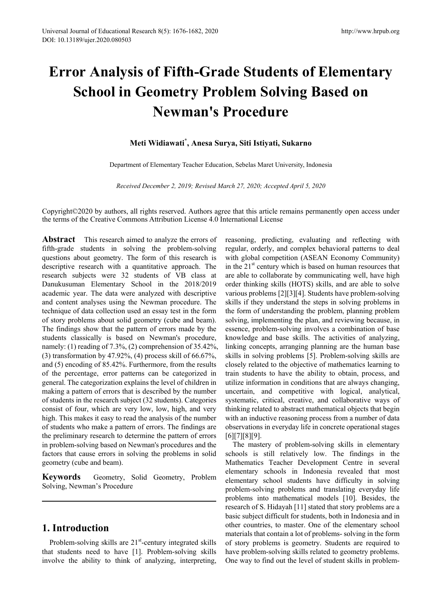# **Error Analysis of Fifth-Grade Students of Elementary School in Geometry Problem Solving Based on Newman's Procedure**

## **Meti Widiawati\* , Anesa Surya, Siti Istiyati, Sukarno**

Department of Elementary Teacher Education, Sebelas Maret University, Indonesia

*Received December 2, 2019; Revised March 27, 2020; Accepted April 5, 2020*

Copyright©2020 by authors, all rights reserved. Authors agree that this article remains permanently open access under the terms of the Creative Commons Attribution License 4.0 International License

**Abstract** This research aimed to analyze the errors of fifth-grade students in solving the problem-solving questions about geometry. The form of this research is descriptive research with a quantitative approach. The research subjects were 32 students of VB class at Danukusuman Elementary School in the 2018/2019 academic year. The data were analyzed with descriptive and content analyses using the Newman procedure. The technique of data collection used an essay test in the form of story problems about solid geometry (cube and beam). The findings show that the pattern of errors made by the students classically is based on Newman's procedure, namely: (1) reading of 7.3%, (2) comprehension of 35.42%, (3) transformation by 47.92%, (4) process skill of 66.67%, and (5) encoding of 85.42%. Furthermore, from the results of the percentage, error patterns can be categorized in general. The categorization explains the level of children in making a pattern of errors that is described by the number of students in the research subject (32 students). Categories consist of four, which are very low, low, high, and very high. This makes it easy to read the analysis of the number of students who make a pattern of errors. The findings are the preliminary research to determine the pattern of errors in problem-solving based on Newman's procedures and the factors that cause errors in solving the problems in solid geometry (cube and beam).

**Keywords** Geometry, Solid Geometry, Problem Solving, Newman's Procedure

# **1. Introduction**

Problem-solving skills are 21<sup>st</sup>-century integrated skills that students need to have [1]. Problem-solving skills involve the ability to think of analyzing, interpreting,

reasoning, predicting, evaluating and reflecting with regular, orderly, and complex behavioral patterns to deal with global competition (ASEAN Economy Community) in the  $21<sup>st</sup>$  century which is based on human resources that are able to collaborate by communicating well, have high order thinking skills (HOTS) skills, and are able to solve various problems [2][3][4]. Students have problem-solving skills if they understand the steps in solving problems in the form of understanding the problem, planning problem solving, implementing the plan, and reviewing because, in essence, problem-solving involves a combination of base knowledge and base skills. The activities of analyzing, linking concepts, arranging planning are the human base skills in solving problems [5]. Problem-solving skills are closely related to the objective of mathematics learning to train students to have the ability to obtain, process, and utilize information in conditions that are always changing, uncertain, and competitive with logical, analytical, systematic, critical, creative, and collaborative ways of thinking related to abstract mathematical objects that begin with an inductive reasoning process from a number of data observations in everyday life in concrete operational stages [6][7][8][9].

The mastery of problem-solving skills in elementary schools is still relatively low. The findings in the Mathematics Teacher Development Centre in several elementary schools in Indonesia revealed that most elementary school students have difficulty in solving problem-solving problems and translating everyday life problems into mathematical models [10]. Besides, the research of S. Hidayah [11] stated that story problems are a basic subject difficult for students, both in Indonesia and in other countries, to master. One of the elementary school materials that contain a lot of problems- solving in the form of story problems is geometry. Students are required to have problem-solving skills related to geometry problems. One way to find out the level of student skills in problem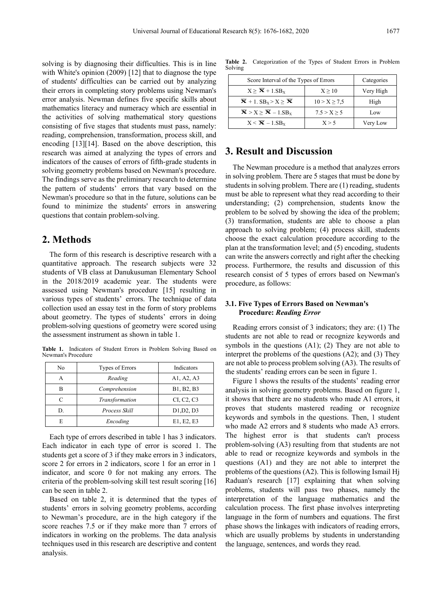solving is by diagnosing their difficulties. This is in line with White's opinion (2009) [12] that to diagnose the type of students' difficulties can be carried out by analyzing their errors in completing story problems using Newman's error analysis. Newman defines five specific skills about mathematics literacy and numeracy which are essential in the activities of solving mathematical story questions consisting of five stages that students must pass, namely: reading, comprehension, transformation, process skill, and encoding [13][14]. Based on the above description, this research was aimed at analyzing the types of errors and indicators of the causes of errors of fifth-grade students in solving geometry problems based on Newman's procedure. The findings serve as the preliminary research to determine the pattern of students' errors that vary based on the Newman's procedure so that in the future, solutions can be found to minimize the students' errors in answering questions that contain problem-solving.

# **2. Methods**

The form of this research is descriptive research with a quantitative approach. The research subjects were 32 students of VB class at Danukusuman Elementary School in the 2018/2019 academic year. The students were assessed using Newman's procedure [15] resulting in various types of students' errors. The technique of data collection used an essay test in the form of story problems about geometry. The types of students' errors in doing problem-solving questions of geometry were scored using the assessment instrument as shown in table 1.

**Table 1.** Indicators of Student Errors in Problem Solving Based on Newman's Procedure

| No | Types of Errors | Indicators                          |
|----|-----------------|-------------------------------------|
|    | Reading         | A1, A2, A3                          |
| в  | Comprehension   | B1, B2, B3                          |
| C  | Transformation  | CI, C <sub>2</sub> , C <sub>3</sub> |
| D. | Process Skill   | D1,D2, D3                           |
| E  | Encoding        | E1, E2, E3                          |

Each type of errors described in table 1 has 3 indicators. Each indicator in each type of error is scored 1. The students get a score of 3 if they make errors in 3 indicators, score 2 for errors in 2 indicators, score 1 for an error in 1 indicator, and score 0 for not making any errors. The criteria of the problem-solving skill test result scoring [16] can be seen in table 2.

Based on table 2, it is determined that the types of students' errors in solving geometry problems, according to Newman's procedure, are in the high category if the score reaches 7.5 or if they make more than 7 errors of indicators in working on the problems. The data analysis techniques used in this research are descriptive and content analysis.

Solving Score Interval of the Types of Errors Categories

**Table 2.** Categorization of the Types of Student Errors in Problem

| Score Interval of the Types of Errors                              | Categories       |           |
|--------------------------------------------------------------------|------------------|-----------|
| $X \geq \overline{X} + 1.SB_X$                                     | $X \geq 10$      | Very High |
| $\overline{\mathbf{X}}$ + 1. $SB_X > X \geq \overline{\mathbf{X}}$ | $10 > X \ge 7.5$ | High      |
| $\overline{\mathbf{X}} > X \geq \overline{\mathbf{X}} - 1.SB_X$    | $7.5 > X \ge 5$  | Low       |
| $X < \overline{X} - 1.SB_X$                                        | X > 5            | Very Low  |

### **3. Result and Discussion**

The Newman procedure is a method that analyzes errors in solving problem. There are 5 stages that must be done by students in solving problem. There are (1) reading, students must be able to represent what they read according to their understanding; (2) comprehension, students know the problem to be solved by showing the idea of the problem; (3) transformation, students are able to choose a plan approach to solving problem; (4) process skill, students choose the exact calculation procedure according to the plan at the transformation level; and (5) encoding, students can write the answers correctly and right after the checking process. Furthermore, the results and discussion of this research consist of 5 types of errors based on Newman's procedure, as follows:

#### **3.1. Five Types of Errors Based on Newman's Procedure:** *Reading Error*

Reading errors consist of 3 indicators; they are: (1) The students are not able to read or recognize keywords and symbols in the questions (A1); (2) They are not able to interpret the problems of the questions (A2); and (3) They are not able to process problem solving (A3). The results of the students' reading errors can be seen in figure 1.

Figure 1 shows the results of the students' reading error analysis in solving geometry problems. Based on figure 1, it shows that there are no students who made A1 errors, it proves that students mastered reading or recognize keywords and symbols in the questions. Then, 1 student who made A2 errors and 8 students who made A3 errors. The highest error is that students can't process problem-solving (A3) resulting from that students are not able to read or recognize keywords and symbols in the questions (A1) and they are not able to interpret the problems of the questions (A2). This is following Ismail Hj Raduan's research [17] explaining that when solving problems, students will pass two phases, namely the interpretation of the language mathematics and the calculation process. The first phase involves interpreting language in the form of numbers and equations. The first phase shows the linkages with indicators of reading errors, which are usually problems by students in understanding the language, sentences, and words they read.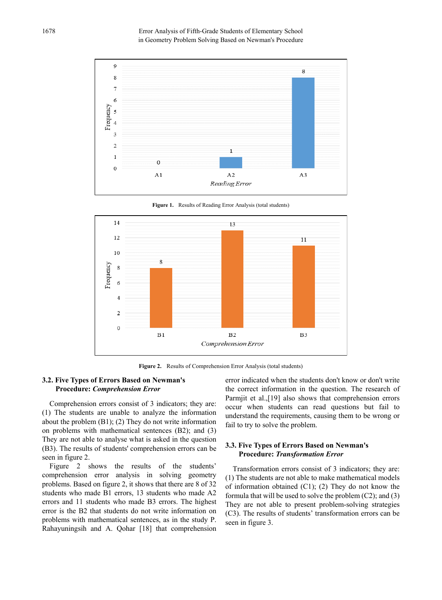1678 Error Analysis of Fifth-Grade Students of Elementary School in Geometry Problem Solving Based on Newman's Procedure



**Figure 1.** Results of Reading Error Analysis (total students)



**Figure 2.** Results of Comprehension Error Analysis (total students)

#### **3.2. Five Types of Errors Based on Newman's Procedure:** *Comprehension Error*

Comprehension errors consist of 3 indicators; they are: (1) The students are unable to analyze the information about the problem (B1); (2) They do not write information on problems with mathematical sentences (B2); and (3) They are not able to analyse what is asked in the question (B3). The results of students' comprehension errors can be seen in figure 2.

Figure 2 shows the results of the students' comprehension error analysis in solving geometry problems. Based on figure 2, it shows that there are 8 of 32 students who made B1 errors, 13 students who made A2 errors and 11 students who made B3 errors. The highest error is the B2 that students do not write information on problems with mathematical sentences, as in the study P. Rahayuningsih and A. Qohar [18] that comprehension

error indicated when the students don't know or don't write the correct information in the question. The research of Parmjit et al.,[19] also shows that comprehension errors occur when students can read questions but fail to understand the requirements, causing them to be wrong or fail to try to solve the problem.

#### **3.3. Five Types of Errors Based on Newman's Procedure:** *Transformation Error*

Transformation errors consist of 3 indicators; they are: (1) The students are not able to make mathematical models of information obtained (C1); (2) They do not know the formula that will be used to solve the problem  $(C2)$ ; and  $(3)$ They are not able to present problem-solving strategies (C3). The results of students' transformation errors can be seen in figure 3.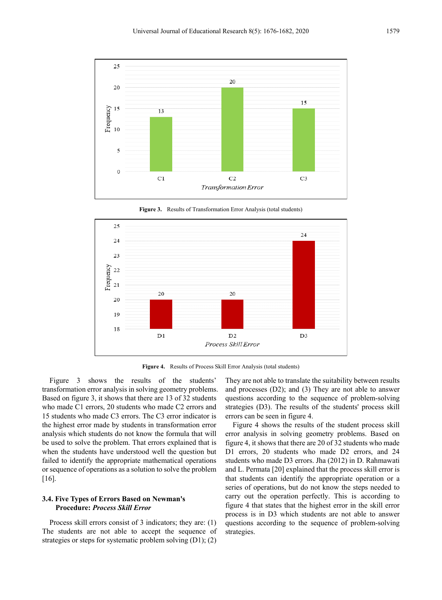

**Figure 3.** Results of Transformation Error Analysis (total students)



**Figure 4.** Results of Process Skill Error Analysis (total students)

Figure 3 shows the results of the students' transformation error analysis in solving geometry problems. Based on figure 3, it shows that there are 13 of 32 students who made C1 errors, 20 students who made C2 errors and 15 students who made C3 errors. The C3 error indicator is the highest error made by students in transformation error analysis which students do not know the formula that will be used to solve the problem. That errors explained that is when the students have understood well the question but failed to identify the appropriate mathematical operations or sequence of operations as a solution to solve the problem [16].

#### **3.4. Five Types of Errors Based on Newman's Procedure:** *Process Skill Error*

Process skill errors consist of 3 indicators; they are: (1) The students are not able to accept the sequence of strategies or steps for systematic problem solving (D1); (2)

They are not able to translate the suitability between results and processes (D2); and (3) They are not able to answer questions according to the sequence of problem-solving strategies (D3). The results of the students' process skill errors can be seen in figure 4.

Figure 4 shows the results of the student process skill error analysis in solving geometry problems. Based on figure 4, it shows that there are 20 of 32 students who made D1 errors, 20 students who made D2 errors, and 24 students who made D3 errors. Jha (2012) in D. Rahmawati and L. Permata [20] explained that the process skill error is that students can identify the appropriate operation or a series of operations, but do not know the steps needed to carry out the operation perfectly. This is according to figure 4 that states that the highest error in the skill error process is in D3 which students are not able to answer questions according to the sequence of problem-solving strategies.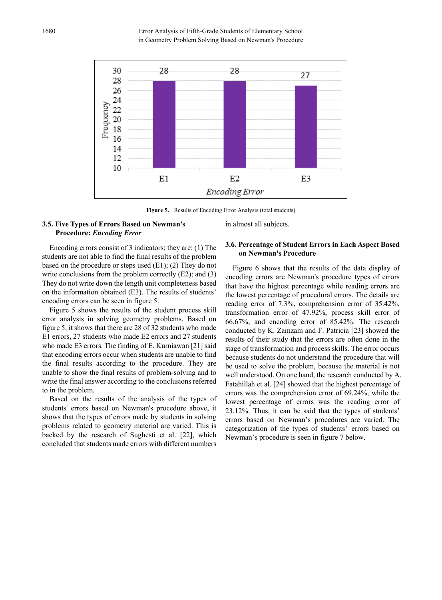1680 Error Analysis of Fifth-Grade Students of Elementary School in Geometry Problem Solving Based on Newman's Procedure



**Figure 5.** Results of Encoding Error Analysis (total students)

#### **3.5. Five Types of Errors Based on Newman's Procedure:** *Encoding Error*

Encoding errors consist of 3 indicators; they are: (1) The students are not able to find the final results of the problem based on the procedure or steps used (E1); (2) They do not write conclusions from the problem correctly (E2); and (3) They do not write down the length unit completeness based on the information obtained (E3). The results of students' encoding errors can be seen in figure 5.

Figure 5 shows the results of the student process skill error analysis in solving geometry problems. Based on figure 5, it shows that there are 28 of 32 students who made E1 errors, 27 students who made E2 errors and 27 students who made E3 errors. The finding of E. Kurniawan [21] said that encoding errors occur when students are unable to find the final results according to the procedure. They are unable to show the final results of problem-solving and to write the final answer according to the conclusions referred to in the problem.

Based on the results of the analysis of the types of students' errors based on Newman's procedure above, it shows that the types of errors made by students in solving problems related to geometry material are varied. This is backed by the research of Sughesti et al. [22], which concluded that students made errors with different numbers

in almost all subjects.

#### **3.6. Percentage of Student Errors in Each Aspect Based on Newman's Procedure**

Figure 6 shows that the results of the data display of encoding errors are Newman's procedure types of errors that have the highest percentage while reading errors are the lowest percentage of procedural errors. The details are reading error of 7.3%, comprehension error of 35.42%, transformation error of 47.92%, process skill error of 66.67%, and encoding error of 85.42%. The research conducted by K. Zamzam and F. Patricia [23] showed the results of their study that the errors are often done in the stage of transformation and process skills. The error occurs because students do not understand the procedure that will be used to solve the problem, because the material is not well understood. On one hand, the research conducted by A. Fatahillah et al. [24] showed that the highest percentage of errors was the comprehension error of 69.24%, while the lowest percentage of errors was the reading error of 23.12%. Thus, it can be said that the types of students' errors based on Newman's procedures are varied. The categorization of the types of students' errors based on Newman's procedure is seen in figure 7 below.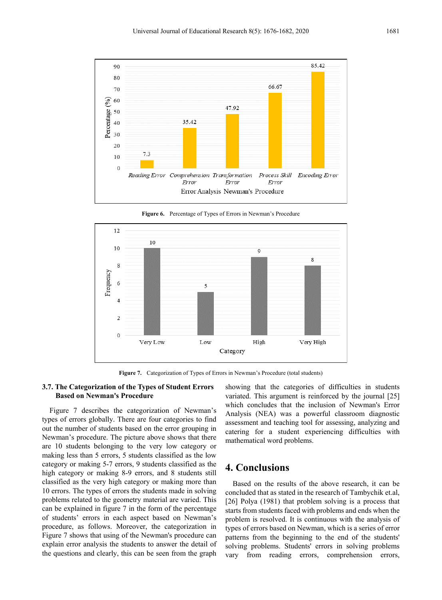

12  $10\,$ 10  $\overline{Q}$ 8 8 Frequency 6 5  $\overline{2}$  $\boldsymbol{0}$ Very Low Low High Very High Category

**Figure 6.** Percentage of Types of Errors in Newman's Procedure

**Figure 7.** Categorization of Types of Errors in Newman's Procedure (total students)

#### **3.7. The Categorization of the Types of Student Errors Based on Newman's Procedure**

Figure 7 describes the categorization of Newman's types of errors globally. There are four categories to find out the number of students based on the error grouping in Newman's procedure. The picture above shows that there are 10 students belonging to the very low category or making less than 5 errors, 5 students classified as the low category or making 5-7 errors, 9 students classified as the high category or making 8-9 errors, and 8 students still classified as the very high category or making more than 10 errors. The types of errors the students made in solving problems related to the geometry material are varied. This can be explained in figure 7 in the form of the percentage of students' errors in each aspect based on Newman's procedure, as follows. Moreover, the categorization in Figure 7 shows that using of the Newman's procedure can explain error analysis the students to answer the detail of the questions and clearly, this can be seen from the graph

showing that the categories of difficulties in students variated. This argument is reinforced by the journal [25] which concludes that the inclusion of Newman's Error Analysis (NEA) was a powerful classroom diagnostic assessment and teaching tool for assessing, analyzing and catering for a student experiencing difficulties with mathematical word problems.

# **4. Conclusions**

Based on the results of the above research, it can be concluded that as stated in the research of Tambychik et.al, [26] Polya (1981) that problem solving is a process that starts from students faced with problems and ends when the problem is resolved. It is continuous with the analysis of types of errors based on Newman, which is a series of error patterns from the beginning to the end of the students' solving problems. Students' errors in solving problems vary from reading errors, comprehension errors,